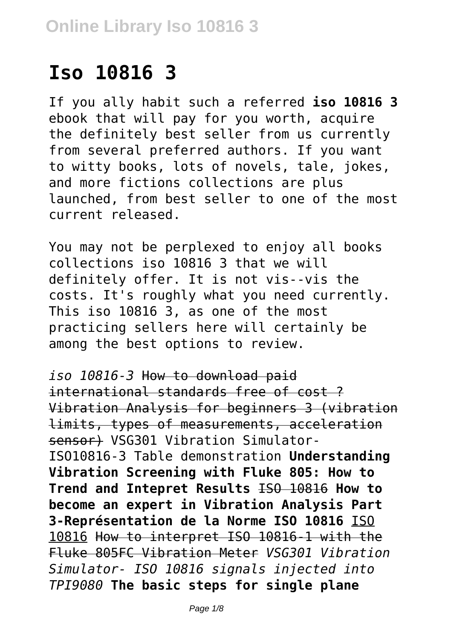# **Iso 10816 3**

If you ally habit such a referred **iso 10816 3** ebook that will pay for you worth, acquire the definitely best seller from us currently from several preferred authors. If you want to witty books, lots of novels, tale, jokes, and more fictions collections are plus launched, from best seller to one of the most current released.

You may not be perplexed to enjoy all books collections iso 10816 3 that we will definitely offer. It is not vis--vis the costs. It's roughly what you need currently. This iso 10816 3, as one of the most practicing sellers here will certainly be among the best options to review.

*iso 10816-3* How to download paid international standards free of cost ? Vibration Analysis for beginners 3 (vibration limits, types of measurements, acceleration sensor) VSG301 Vibration Simulator-ISO10816-3 Table demonstration **Understanding Vibration Screening with Fluke 805: How to Trend and Intepret Results** ISO 10816 **How to become an expert in Vibration Analysis Part 3-Représentation de la Norme ISO 10816** ISO 10816 How to interpret ISO 10816-1 with the Fluke 805FC Vibration Meter *VSG301 Vibration Simulator- ISO 10816 signals injected into TPI9080* **The basic steps for single plane**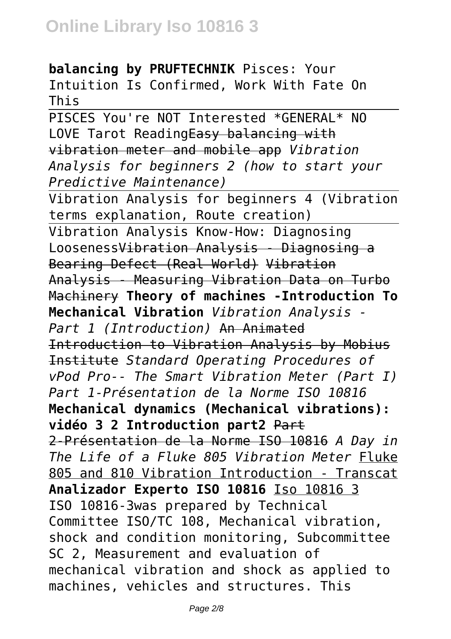**balancing by PRUFTECHNIK** Pisces: Your Intuition Is Confirmed, Work With Fate On This

PISCES You're NOT Interested \*GENERAL\* NO LOVE Tarot ReadingEasy balancing with vibration meter and mobile app *Vibration Analysis for beginners 2 (how to start your Predictive Maintenance)*

Vibration Analysis for beginners 4 (Vibration terms explanation, Route creation) Vibration Analysis Know-How: Diagnosing LoosenessVibration Analysis - Diagnosing a Bearing Defect (Real World) Vibration Analysis - Measuring Vibration Data on Turbo Machinery **Theory of machines -Introduction To Mechanical Vibration** *Vibration Analysis - Part 1 (Introduction)* An Animated Introduction to Vibration Analysis by Mobius Institute *Standard Operating Procedures of vPod Pro-- The Smart Vibration Meter (Part I) Part 1-Présentation de la Norme ISO 10816* **Mechanical dynamics (Mechanical vibrations): vidéo 3 2 Introduction part2** Part 2-Présentation de la Norme ISO 10816 *A Day in The Life of a Fluke 805 Vibration Meter* Fluke 805 and 810 Vibration Introduction - Transcat **Analizador Experto ISO 10816** Iso 10816 3 ISO 10816-3was prepared by Technical Committee ISO/TC 108, Mechanical vibration, shock and condition monitoring, Subcommittee SC 2, Measurement and evaluation of mechanical vibration and shock as applied to machines, vehicles and structures. This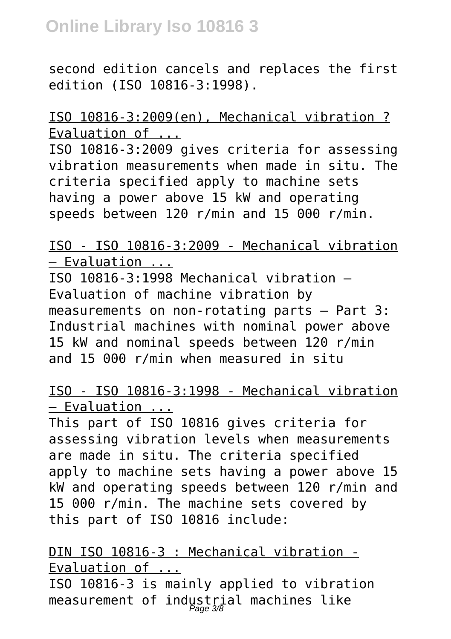second edition cancels and replaces the first edition (ISO 10816-3:1998).

ISO 10816-3:2009(en), Mechanical vibration ? Evaluation of ...

ISO 10816-3:2009 gives criteria for assessing vibration measurements when made in situ. The criteria specified apply to machine sets having a power above 15 kW and operating speeds between 120 r/min and 15 000 r/min.

ISO - ISO 10816-3:2009 - Mechanical vibration — Evaluation ...

ISO 10816-3:1998 Mechanical vibration — Evaluation of machine vibration by measurements on non-rotating parts — Part 3: Industrial machines with nominal power above 15 kW and nominal speeds between 120 r/min and 15 000 r/min when measured in situ

ISO - ISO 10816-3:1998 - Mechanical vibration — Evaluation ...

This part of ISO 10816 gives criteria for assessing vibration levels when measurements are made in situ. The criteria specified apply to machine sets having a power above 15 kW and operating speeds between 120 r/min and 15 000 r/min. The machine sets covered by this part of ISO 10816 include:

DIN ISO 10816-3 : Mechanical vibration - Evaluation of ... ISO 10816-3 is mainly applied to vibration measurement of industrial machines like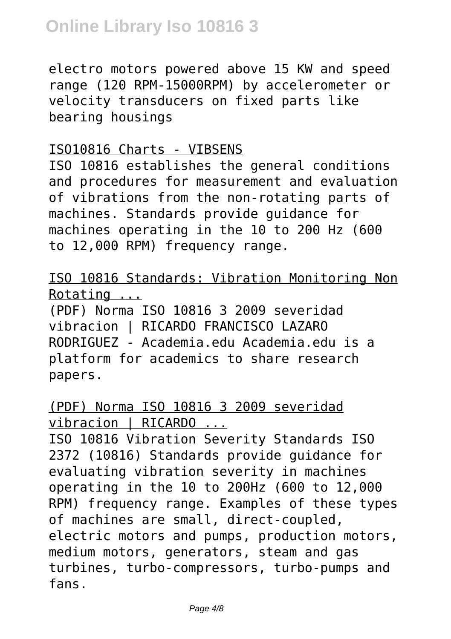electro motors powered above 15 KW and speed range (120 RPM-15000RPM) by accelerometer or velocity transducers on fixed parts like bearing housings

#### ISO10816 Charts - VIBSENS

ISO 10816 establishes the general conditions and procedures for measurement and evaluation of vibrations from the non-rotating parts of machines. Standards provide guidance for machines operating in the 10 to 200 Hz (600 to 12,000 RPM) frequency range.

## ISO 10816 Standards: Vibration Monitoring Non Rotating ...

(PDF) Norma ISO 10816 3 2009 severidad vibracion | RICARDO FRANCISCO LAZARO RODRIGUEZ - Academia.edu Academia.edu is a platform for academics to share research papers.

## (PDF) Norma ISO 10816 3 2009 severidad vibracion | RICARDO ...

ISO 10816 Vibration Severity Standards ISO 2372 (10816) Standards provide guidance for evaluating vibration severity in machines operating in the 10 to 200Hz (600 to 12,000 RPM) frequency range. Examples of these types of machines are small, direct-coupled, electric motors and pumps, production motors, medium motors, generators, steam and gas turbines, turbo-compressors, turbo-pumps and fans.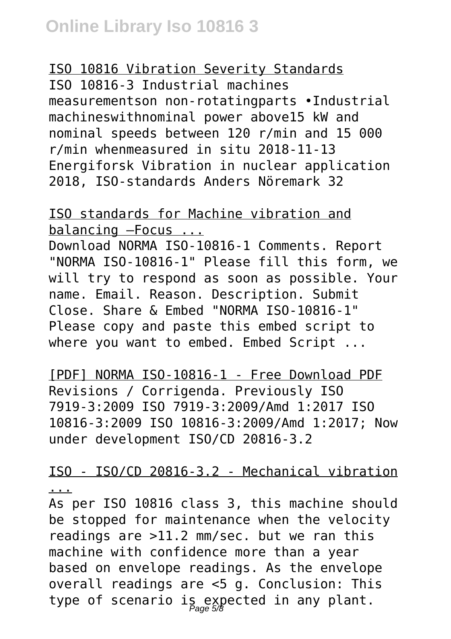#### ISO 10816 Vibration Severity Standards

ISO 10816‐3 Industrial machines measurementson non‐rotatingparts •Industrial machineswithnominal power above15 kW and nominal speeds between 120 r/min and 15 000 r/min whenmeasured in situ 2018‐11‐13 Energiforsk Vibration in nuclear application 2018, ISO‐standards Anders Nöremark 32

ISO standards for Machine vibration and balancing –Focus ...

Download NORMA ISO-10816-1 Comments. Report "NORMA ISO-10816-1" Please fill this form, we will try to respond as soon as possible. Your name. Email. Reason. Description. Submit Close. Share & Embed "NORMA ISO-10816-1" Please copy and paste this embed script to where you want to embed. Embed Script ...

[PDF] NORMA ISO-10816-1 - Free Download PDF Revisions / Corrigenda. Previously ISO 7919-3:2009 ISO 7919-3:2009/Amd 1:2017 ISO 10816-3:2009 ISO 10816-3:2009/Amd 1:2017; Now under development ISO/CD 20816-3.2

ISO - ISO/CD 20816-3.2 - Mechanical vibration ...

As per ISO 10816 class 3, this machine should be stopped for maintenance when the velocity readings are >11.2 mm/sec. but we ran this machine with confidence more than a year based on envelope readings. As the envelope overall readings are <5 g. Conclusion: This type of scenario is expected in any plant.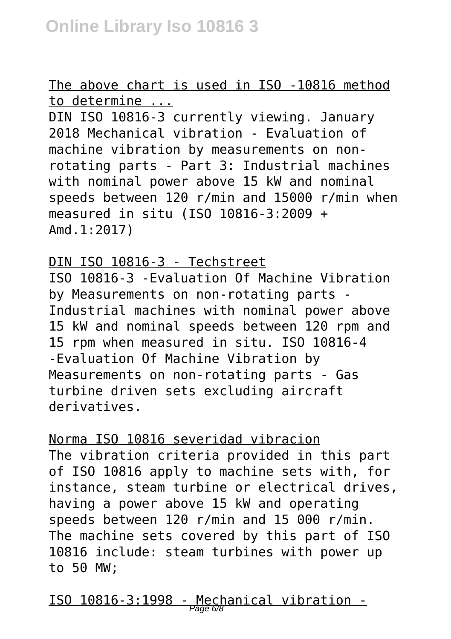The above chart is used in ISO -10816 method to determine ...

DIN ISO 10816-3 currently viewing. January 2018 Mechanical vibration - Evaluation of machine vibration by measurements on nonrotating parts - Part 3: Industrial machines with nominal power above 15 kW and nominal speeds between 120 r/min and 15000 r/min when measured in situ (ISO 10816-3:2009 + Amd.1:2017)

DIN ISO 10816-3 - Techstreet ISO 10816-3 -Evaluation Of Machine Vibration by Measurements on non-rotating parts - Industrial machines with nominal power above 15 kW and nominal speeds between 120 rpm and 15 rpm when measured in situ. ISO 10816-4 -Evaluation Of Machine Vibration by Measurements on non-rotating parts - Gas turbine driven sets excluding aircraft derivatives.

Norma ISO 10816 severidad vibracion The vibration criteria provided in this part of ISO 10816 apply to machine sets with, for instance, steam turbine or electrical drives, having a power above 15 kW and operating speeds between 120 r/min and 15 000 r/min. The machine sets covered by this part of ISO 10816 include: steam turbines with power up to 50 MW;

ISO 10816-3:1998 - Mechanical vibration - Page 6/8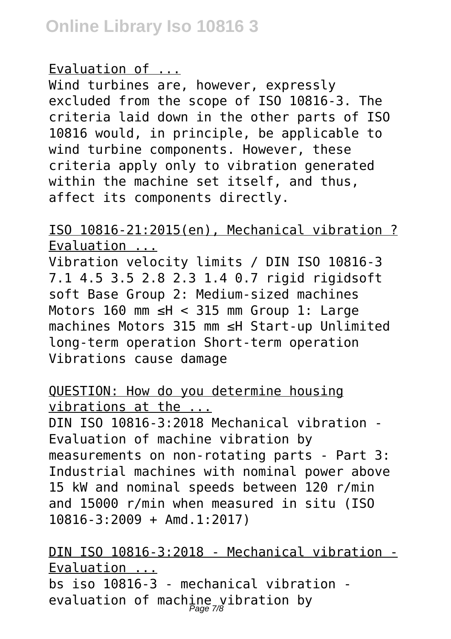### Evaluation of ...

Wind turbines are, however, expressly excluded from the scope of ISO 10816-3. The criteria laid down in the other parts of ISO 10816 would, in principle, be applicable to wind turbine components. However, these criteria apply only to vibration generated within the machine set itself, and thus, affect its components directly.

# ISO 10816-21:2015(en), Mechanical vibration ? Evaluation ...

Vibration velocity limits / DIN ISO 10816-3 7.1 4.5 3.5 2.8 2.3 1.4 0.7 rigid rigidsoft soft Base Group 2: Medium-sized machines Motors 160 mm ≤H < 315 mm Group 1: Large machines Motors 315 mm ≤H Start-up Unlimited long-term operation Short-term operation Vibrations cause damage

# QUESTION: How do you determine housing vibrations at the ...

DIN ISO 10816-3:2018 Mechanical vibration - Evaluation of machine vibration by measurements on non-rotating parts - Part 3: Industrial machines with nominal power above 15 kW and nominal speeds between 120 r/min and 15000 r/min when measured in situ (ISO 10816-3:2009 + Amd.1:2017)

DIN ISO 10816-3:2018 - Mechanical vibration - Evaluation ... bs iso 10816-3 - mechanical vibration evaluation of machine vibration by